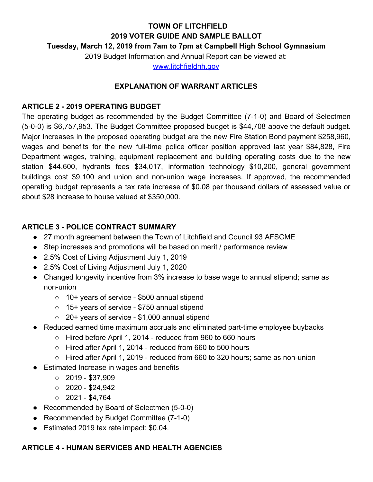# **TOWN OF LITCHFIELD 2019 VOTER GUIDE AND SAMPLE BALLOT**

# **Tuesday, March 12, 2019 from 7am to 7pm at Campbell High School Gymnasium**

2019 Budget Information and Annual Report can be viewed at:

[www.litchfieldnh.gov](http://www.litchfieldnh.gov/)

# **EXPLANATION OF WARRANT ARTICLES**

# **ARTICLE 2 - 2019 OPERATING BUDGET**

The operating budget as recommended by the Budget Committee (7-1-0) and Board of Selectmen (5-0-0) is \$6,757,953. The Budget Committee proposed budget is \$44,708 above the default budget. Major increases in the proposed operating budget are the new Fire Station Bond payment \$258,960, wages and benefits for the new full-time police officer position approved last year \$84,828, Fire Department wages, training, equipment replacement and building operating costs due to the new station \$44,600, hydrants fees \$34,017, information technology \$10,200, general government buildings cost \$9,100 and union and non-union wage increases. If approved, the recommended operating budget represents a tax rate increase of \$0.08 per thousand dollars of assessed value or about \$28 increase to house valued at \$350,000.

# **ARTICLE 3 - POLICE CONTRACT SUMMARY**

- 27 month agreement between the Town of Litchfield and Council 93 AFSCME
- Step increases and promotions will be based on merit / performance review
- 2.5% Cost of Living Adjustment July 1, 2019
- 2.5% Cost of Living Adjustment July 1, 2020
- Changed longevity incentive from 3% increase to base wage to annual stipend; same as non-union
	- 10+ years of service \$500 annual stipend
	- 15+ years of service \$750 annual stipend
	- 20+ years of service \$1,000 annual stipend
- Reduced earned time maximum accruals and eliminated part-time employee buybacks
	- Hired before April 1, 2014 reduced from 960 to 660 hours
	- $\circ$  Hired after April 1, 2014 reduced from 660 to 500 hours
	- $\circ$  Hired after April 1, 2019 reduced from 660 to 320 hours; same as non-union
- Estimated Increase in wages and benefits
	- $\circ$  2019 \$37,909
	- $\circ$  2020 \$24,942
	- $\circ$  2021 \$4,764
- Recommended by Board of Selectmen (5-0-0)
- Recommended by Budget Committee (7-1-0)
- Estimated 2019 tax rate impact: \$0.04.

# **ARTICLE 4 - HUMAN SERVICES AND HEALTH AGENCIES**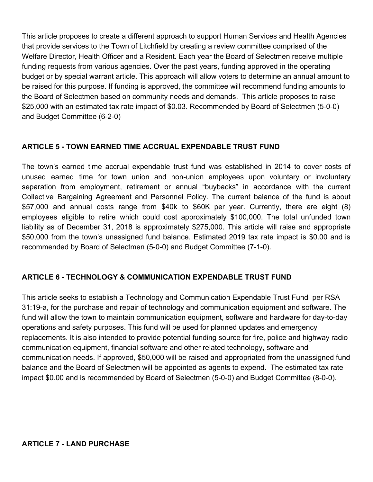This article proposes to create a different approach to support Human Services and Health Agencies that provide services to the Town of Litchfield by creating a review committee comprised of the Welfare Director, Health Officer and a Resident. Each year the Board of Selectmen receive multiple funding requests from various agencies. Over the past years, funding approved in the operating budget or by special warrant article. This approach will allow voters to determine an annual amount to be raised for this purpose. If funding is approved, the committee will recommend funding amounts to the Board of Selectmen based on community needs and demands. This article proposes to raise \$25,000 with an estimated tax rate impact of \$0.03. Recommended by Board of Selectmen (5-0-0) and Budget Committee (6-2-0)

# **ARTICLE 5 - TOWN EARNED TIME ACCRUAL EXPENDABLE TRUST FUND**

The town's earned time accrual expendable trust fund was established in 2014 to cover costs of unused earned time for town union and non-union employees upon voluntary or involuntary separation from employment, retirement or annual "buybacks" in accordance with the current Collective Bargaining Agreement and Personnel Policy. The current balance of the fund is about \$57,000 and annual costs range from \$40k to \$60K per year. Currently, there are eight (8) employees eligible to retire which could cost approximately \$100,000. The total unfunded town liability as of December 31, 2018 is approximately \$275,000. This article will raise and appropriate \$50,000 from the town's unassigned fund balance. Estimated 2019 tax rate impact is \$0.00 and is recommended by Board of Selectmen (5-0-0) and Budget Committee (7-1-0).

# **ARTICLE 6 - TECHNOLOGY & COMMUNICATION EXPENDABLE TRUST FUND**

This article seeks to establish a Technology and Communication Expendable Trust Fund per RSA 31:19-a, for the purchase and repair of technology and communication equipment and software. The fund will allow the town to maintain communication equipment, software and hardware for day-to-day operations and safety purposes. This fund will be used for planned updates and emergency replacements. It is also intended to provide potential funding source for fire, police and highway radio communication equipment, financial software and other related technology, software and communication needs. If approved, \$50,000 will be raised and appropriated from the unassigned fund balance and the Board of Selectmen will be appointed as agents to expend. The estimated tax rate impact \$0.00 and is recommended by Board of Selectmen (5-0-0) and Budget Committee (8-0-0).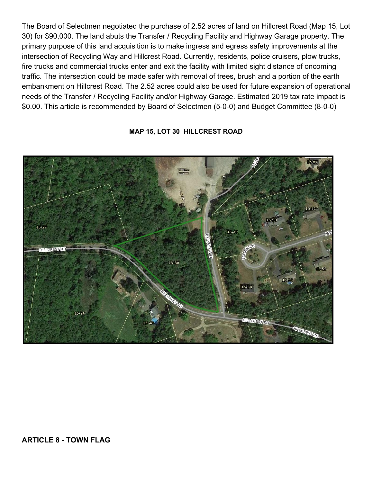The Board of Selectmen negotiated the purchase of 2.52 acres of land on Hillcrest Road (Map 15, Lot 30) for \$90,000. The land abuts the Transfer / Recycling Facility and Highway Garage property. The primary purpose of this land acquisition is to make ingress and egress safety improvements at the intersection of Recycling Way and Hillcrest Road. Currently, residents, police cruisers, plow trucks, fire trucks and commercial trucks enter and exit the facility with limited sight distance of oncoming traffic. The intersection could be made safer with removal of trees, brush and a portion of the earth embankment on Hillcrest Road. The 2.52 acres could also be used for future expansion of operational needs of the Transfer / Recycling Facility and/or Highway Garage. Estimated 2019 tax rate impact is \$0.00. This article is recommended by Board of Selectmen (5-0-0) and Budget Committee (8-0-0)

# $16 - 87$  $15 - 51$  $15 - 27$  $15-47$ rmnarissi Rí 15-30 15-52 15-58 15-54 15-26

## **MAP 15, LOT 30 HILLCREST ROAD**

**ARTICLE 8 - TOWN FLAG**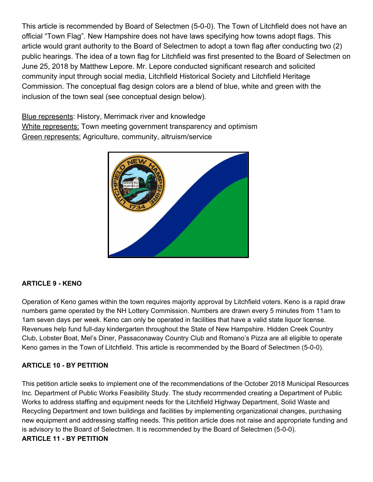This article is recommended by Board of Selectmen (5-0-0). The Town of Litchfield does not have an official "Town Flag". New Hampshire does not have laws specifying how towns adopt flags. This article would grant authority to the Board of Selectmen to adopt a town flag after conducting two (2) public hearings. The idea of a town flag for Litchfield was first presented to the Board of Selectmen on June 25, 2018 by Matthew Lepore. Mr. Lepore conducted significant research and solicited community input through social media, Litchfield Historical Society and Litchfield Heritage Commission. The conceptual flag design colors are a blend of blue, white and green with the inclusion of the town seal (see conceptual design below).

**Blue represents: History, Merrimack river and knowledge** White represents: Town meeting government transparency and optimism Green represents: Agriculture, community, altruism/service



## **ARTICLE 9 - KENO**

Operation of Keno games within the town requires majority approval by Litchfield voters. Keno is a rapid draw numbers game operated by the NH Lottery Commission. Numbers are drawn every 5 minutes from 11am to 1am seven days per week. Keno can only be operated in facilities that have a valid state liquor license. Revenues help fund full-day kindergarten throughout the State of New Hampshire. Hidden Creek Country Club, Lobster Boat, Mel's Diner, Passaconaway Country Club and Romano's Pizza are all eligible to operate Keno games in the Town of Litchfield. This article is recommended by the Board of Selectmen (5-0-0).

## **ARTICLE 10 - BY PETITION**

This petition article seeks to implement one of the recommendations of the October 2018 Municipal Resources Inc. Department of Public Works Feasibility Study. The study recommended creating a Department of Public Works to address staffing and equipment needs for the Litchfield Highway Department, Solid Waste and Recycling Department and town buildings and facilities by implementing organizational changes, purchasing new equipment and addressing staffing needs. This petition article does not raise and appropriate funding and is advisory to the Board of Selectmen. It is recommended by the Board of Selectmen (5-0-0). **ARTICLE 11 - BY PETITION**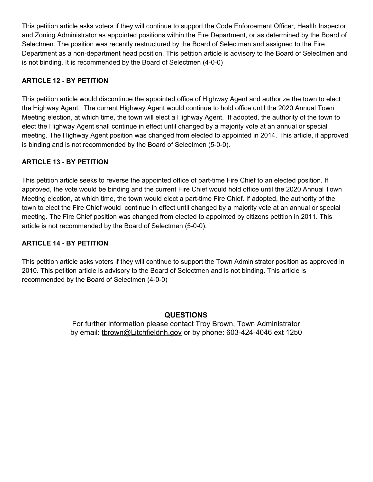This petition article asks voters if they will continue to support the Code Enforcement Officer, Health Inspector and Zoning Administrator as appointed positions within the Fire Department, or as determined by the Board of Selectmen. The position was recently restructured by the Board of Selectmen and assigned to the Fire Department as a non-department head position. This petition article is advisory to the Board of Selectmen and is not binding. It is recommended by the Board of Selectmen (4-0-0)

# **ARTICLE 12 - BY PETITION**

This petition article would discontinue the appointed office of Highway Agent and authorize the town to elect the Highway Agent. The current Highway Agent would continue to hold office until the 2020 Annual Town Meeting election, at which time, the town will elect a Highway Agent. If adopted, the authority of the town to elect the Highway Agent shall continue in effect until changed by a majority vote at an annual or special meeting. The Highway Agent position was changed from elected to appointed in 2014. This article, if approved is binding and is not recommended by the Board of Selectmen (5-0-0).

## **ARTICLE 13 - BY PETITION**

This petition article seeks to reverse the appointed office of part-time Fire Chief to an elected position. If approved, the vote would be binding and the current Fire Chief would hold office until the 2020 Annual Town Meeting election, at which time, the town would elect a part-time Fire Chief. If adopted, the authority of the town to elect the Fire Chief would continue in effect until changed by a majority vote at an annual or special meeting. The Fire Chief position was changed from elected to appointed by citizens petition in 2011. This article is not recommended by the Board of Selectmen (5-0-0).

#### **ARTICLE 14 - BY PETITION**

This petition article asks voters if they will continue to support the Town Administrator position as approved in 2010. This petition article is advisory to the Board of Selectmen and is not binding. This article is recommended by the Board of Selectmen (4-0-0)

## **QUESTION[S](http://www.litchfieldnh.gov/)**

For further information please contact Troy Brown, Town Administrator by email: thrown@Litchfieldnh.gov or by phone: 603-424-4046 ext 1250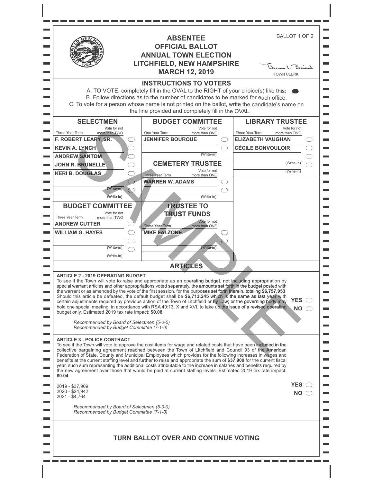|                                                                                                                                                                                                                                                                                                                                                                                | <b>ABSENTEE</b><br><b>OFFICIAL BALLOT</b><br><b>ANNUAL TOWN ELECTION</b><br><b>LITCHFIELD, NEW HAMPSHIRE</b><br><b>MARCH 12, 2019</b>                                                                                                                                                                                                                                                                                                                                                                                                                                                                                                                                                                                               | BALLOT 1 OF 2<br>James L. Boirod<br><b>TOWN CLERK</b>                                                                                                          |
|--------------------------------------------------------------------------------------------------------------------------------------------------------------------------------------------------------------------------------------------------------------------------------------------------------------------------------------------------------------------------------|-------------------------------------------------------------------------------------------------------------------------------------------------------------------------------------------------------------------------------------------------------------------------------------------------------------------------------------------------------------------------------------------------------------------------------------------------------------------------------------------------------------------------------------------------------------------------------------------------------------------------------------------------------------------------------------------------------------------------------------|----------------------------------------------------------------------------------------------------------------------------------------------------------------|
|                                                                                                                                                                                                                                                                                                                                                                                | <b>INSTRUCTIONS TO VOTERS</b><br>A. TO VOTE, completely fill in the OVAL to the RIGHT of your choice(s) like this:<br>B. Follow directions as to the number of candidates to be marked for each office.<br>C. To vote for a person whose name is not printed on the ballot, write the candidate's name on<br>the line provided and completely fill in the OVAL.                                                                                                                                                                                                                                                                                                                                                                     |                                                                                                                                                                |
| <b>SELECTMEN</b><br>Vote for not<br>Three Year Term<br>more than TWO<br>F. ROBERT LEARY, SR.<br><b>KEVIN A. LYNCH</b><br><b>ANDREW SANTOM</b><br><b>JOHN R. BRUNELLE</b><br><b>KERI B. DOUGLAS</b><br>(Write-in)<br>(Write-in)<br><b>BUDGET COMMITTEE</b><br>Vote for not<br>Three Year Term<br>more than TWO<br><b>ANDREW CUTTER</b><br><b>WILLIAM G. HAYES</b><br>(Write-in) | <b>BUDGET COMMITTEE</b><br>Vote for not<br>One Year Term<br>more than ONE<br><b>JENNIFER BOURQUE</b><br>(Write-in)<br><b>CEMETERY TRUSTEE</b><br>Vote for not<br>Three Year Term<br>more than ONE<br><b>WARREN W. ADAMS</b><br>(Write-in)<br><b>TRUSTEE TO</b><br><b>TRUST FUNDS</b><br>Vote for not<br>more than ONE<br><b>Three Year Term</b><br><b>MIKE FALZONE</b><br>(Write-in)                                                                                                                                                                                                                                                                                                                                                | <b>LIBRARY TRUSTEE</b><br>Vote for not<br>Three Year Term<br>more than TWO<br><b>ELIZABETH VAUGHAN</b><br><b>CÉCILE BONVOULOIR</b><br>(Write-in)<br>(Write-in) |
| (Write-in)<br><b>ARTICLE 2 - 2019 OPERATING BUDGET</b><br>budget only. Estimated 2019 tax rate impact: \$0.08.<br>Recommended by Board of Selectmen (5-0-0)<br>Recommended by Budget Committee (7-1-0)                                                                                                                                                                         | <b>ARTICLES</b><br>To see if the Town will vote to raise and appropriate as an operating budget, not including appropriation by<br>special warrant articles and other appropriations voted separately, the amounts set forth in the budget posted with<br>the warrant or as amended by the vote of the first session, for the purposes set forth therein, totaling \$6,757,953.<br>Should this article be defeated, the default budget shall be \$6,713,245 which is the same as last year with<br>certain adjustments required by previous action of the Town of Litchfield or by Law; or the governing body may<br>hold one special meeting, in accordance with RSA 40:13, X and XVI, to take up the issue of a revised operating | <b>YES</b><br><b>NO</b>                                                                                                                                        |
| <b>ARTICLE 3 - POLICE CONTRACT</b><br>\$0.04.<br>2019 - \$37,909<br>2020 - \$24,942<br>2021 - \$4,764<br>Recommended by Board of Selectmen (5-0-0)<br>Recommended by Budget Committee (7-1-0)                                                                                                                                                                                  | To see if the Town will vote to approve the cost items for wage and related costs that have been included in the<br>collective bargaining agreement reached between the Town of Litchfield and Council 93 of the American<br>Federation of State, County and Municipal Employees which provides for the following increases in wages and<br>benefits at the current staffing level and further to raise and appropriate the sum of \$37,909 for the current fiscal<br>year, such sum representing the additional costs attributable to the increase in salaries and benefits required by<br>the new agreement over those that would be paid at current staffing levels. Estimated 2019 tax rate impact:                             | YES $\bigcirc$<br>NO.                                                                                                                                          |
|                                                                                                                                                                                                                                                                                                                                                                                | TURN BALLOT OVER AND CONTINUE VOTING                                                                                                                                                                                                                                                                                                                                                                                                                                                                                                                                                                                                                                                                                                |                                                                                                                                                                |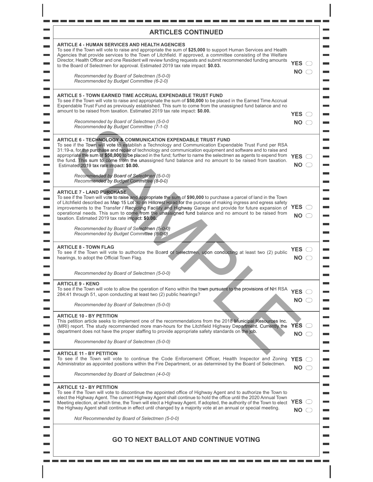| <b>ARTICLES CONTINUED</b>                                                                                                                                                                                                                                                                                                                                                                                                                                                                                                                                                                                                                                             |                                    |
|-----------------------------------------------------------------------------------------------------------------------------------------------------------------------------------------------------------------------------------------------------------------------------------------------------------------------------------------------------------------------------------------------------------------------------------------------------------------------------------------------------------------------------------------------------------------------------------------------------------------------------------------------------------------------|------------------------------------|
| <b>ARTICLE 4 - HUMAN SERVICES AND HEALTH AGENCIES</b><br>To see if the Town will vote to raise and appropriate the sum of \$25,000 to support Human Services and Health<br>Agencies that provide services to the Town of Litchfield. If approved, a committee consisting of the Welfare<br>Director, Health Officer and one Resident will review funding requests and submit recommended funding amounts<br>to the Board of Selectmen for approval. Estimated 2019 tax rate impact: \$0.03.                                                                                                                                                                           | YES $\bigcirc$<br>NO <sub>o</sub>  |
| Recommended by Board of Selectmen (5-0-0)<br>Recommended by Budget Committee (6-2-0)                                                                                                                                                                                                                                                                                                                                                                                                                                                                                                                                                                                  |                                    |
| <b>ARTICLE 5 - TOWN EARNED TIME ACCRUAL EXPENDABLE TRUST FUND</b><br>To see if the Town will vote to raise and appropriate the sum of \$50,000 to be placed in the Earned Time Accrual<br>Expendable Trust Fund as previously established. This sum to come from the unassigned fund balance and no<br>amount to be raised from taxation. Estimated 2019 tax rate impact: \$0.00.<br>Recommended by Board of Selectmen (5-0-0<br>Recommended by Budget Committee (7-1-0)                                                                                                                                                                                              | YES $\bigcirc$<br>NO <sub>2</sub>  |
| <b>ARTICLE 6 - TECHNOLOGY &amp; COMMUNICATION EXPENDABLE TRUST FUND</b><br>To see if the Town will vote to establish a Technology and Communication Expendable Trust Fund per RSA<br>31:19-a, for the purchase and repair of technology and communication equipment and software and to raise and<br>appropriate the sum of \$50,000 to be placed in the fund; further to name the selectmen as agents to expend from YES<br>the fund. This sum to come from the unassigned fund balance and no amount to be raised from taxation.<br>Estimated 2019 tax rate impact: \$0.00.<br>Recommended by Board of Selectmen (5-0-0)<br>Recommended by Budget Committee (8-0-0) | $\overline{\mathsf{NO}}$ $\subset$ |
| <b>ARTICLE 7 - LAND PURCHASE</b><br>To see if the Town will vote to raise and appropriate the sum of \$90,000 to purchase a parcel of land in the Town<br>of Litchfield described as Map 15 Lot 30 on Hillcrest Road for the purpose of making ingress and egress safety<br>improvements to the Transfer / Recycling Facility and Highway Garage and provide for future expansion of YES $\subset$<br>operational needs. This sum to come from the unassigned fund balance and no amount to be raised from<br>taxation. Estimated 2019 tax rate impact: \$0.00.<br>Recommended by Board of Selectmen (5-0-0)<br>Recommended by Budget Committee (8-0-0)               | $NO \subset$                       |
| <b>ARTICLE 8 - TOWN FLAG</b><br>To see if the Town will vote to authorize the Board of Selectmen, upon conducting at least two (2) public<br>hearings, to adopt the Official Town Flag.<br>Recommended by Board of Selectmen (5-0-0)                                                                                                                                                                                                                                                                                                                                                                                                                                  | YES $\bigcirc$<br>$NO \subset$     |
| <b>ARTICLE 9 - KENO</b>                                                                                                                                                                                                                                                                                                                                                                                                                                                                                                                                                                                                                                               |                                    |
| To see if the Town will vote to allow the operation of Keno within the town pursuant to the provisions of NH RSA<br>284:41 through 51, upon conducting at least two (2) public hearings?                                                                                                                                                                                                                                                                                                                                                                                                                                                                              | <b>YES</b><br>$NO \bigcirc$        |
| Recommended by Board of Selectmen (5-0-0)                                                                                                                                                                                                                                                                                                                                                                                                                                                                                                                                                                                                                             |                                    |
| <b>ARTICLE 10 - BY PETITION</b><br>This petition article seeks to implement one of the recommendations from the 2018 Municipal Resources Inc.<br>(MRI) report. The study recommended more man-hours for the Litchfield Highway Department. Currently the<br>department does not have the proper staffing to provide appropriate safety standards on the job.<br>Recommended by Board of Selectmen (5-0-0)                                                                                                                                                                                                                                                             | <b>YES</b><br>( )<br><b>NO</b>     |
| <b>ARTICLE 11 - BY PETITION</b><br>To see if the Town will vote to continue the Code Enforcement Officer, Health Inspector and Zoning<br>Administrator as appointed positions within the Fire Department, or as determined by the Board of Selectmen.                                                                                                                                                                                                                                                                                                                                                                                                                 | YES $\bigcirc$                     |
| Recommended by Board of Selectmen (4-0-0)                                                                                                                                                                                                                                                                                                                                                                                                                                                                                                                                                                                                                             | $NO \subset$                       |
| <b>ARTICLE 12 - BY PETITION</b><br>To see if the Town will vote to discontinue the appointed office of Highway Agent and to authorize the Town to<br>elect the Highway Agent. The current Highway Agent shall continue to hold the office until the 2020 Annual Town<br>Meeting election, at which time, the Town will elect a Highway Agent. If adopted, the authority of the Town to elect<br>the Highway Agent shall continue in effect until changed by a majority vote at an annual or special meeting.                                                                                                                                                          | YES $\bigcirc$<br>$NO \n\bigcirc$  |
| Not Recommended by Board of Selectmen (5-0-0)                                                                                                                                                                                                                                                                                                                                                                                                                                                                                                                                                                                                                         |                                    |
| <b>GO TO NEXT BALLOT AND CONTINUE VOTING</b>                                                                                                                                                                                                                                                                                                                                                                                                                                                                                                                                                                                                                          |                                    |

- - - -